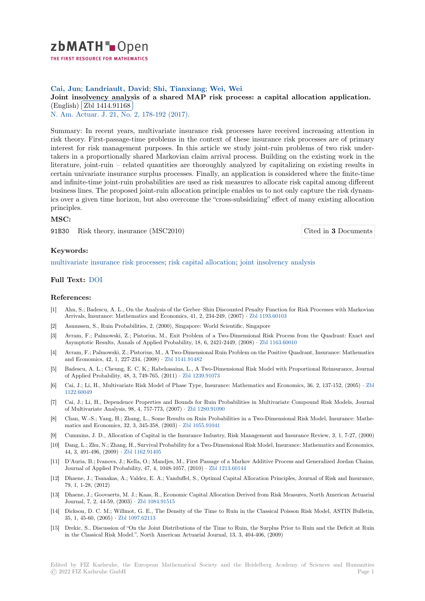

# **Cai, Jun**; **Landriault, David**; **Shi, Tianxiang**; **Wei, Wei**

# [J](https://zbmath.org/)oint insolvency analysis of a shared MAP risk process: a capital allocation application. (English) Zbl 1414.91168

N. Am. Actuar. J. 21, No. 2, 178-192 (2017).

[Summary: In recent years, multivariate insurance risk processes have received increasing attention in](https://zbmath.org/1414.91168) risk theor[y. First-passage-ti](https://zbmath.org/1414.91168)me problems in the context of these insurance risk processes are of primary [interest for risk m](https://zbmath.org/journals/?q=se:3081)[anagement purposes. In t](https://zbmath.org/?q=in:433223)his article we study joint-ruin problems of two risk undertakers in a proportionally shared Markovian claim arrival process. Building on the existing work in the literature, joint-ruin – related quantities are thoroughly analyzed by capitalizing on existing results in certain univariate insurance surplus processes. Finally, an application is considered where the finite-time and infinite-time joint-ruin probabilities are used as risk measures to allocate risk capital among different business lines. The proposed joint-ruin allocation principle enables us to not only capture the risk dynamics over a given time horizon, but also overcome the "cross-subsidizing" effect of many existing allocation principles.

### **MSC:**

91B30 Risk theory, insurance (MSC2010) Cited in **3** Documents

### **Keywords:**

multivariate insurance risk processes; risk capital allocation; joint insolvency anal[ysis](https://zbmath.org/?q=rf:1414.91168|7059861)

#### **Full Text:** DOI

#### **[References:](https://zbmath.org/?q=ut:multivariate+insurance+risk+processes)**

- [1] Ahn, S.; Badescu, A. L., On the Analysis of the Gerber–Shiu Discounted Penalty Function for Risk Processes with Markovian Arrivals, [Insura](https://dx.doi.org/10.1080/10920277.2016.1246254)nce: Mathematics and Economics, 41, 2, 234-249, (2007) *·* Zbl 1193.60103
- [2] Asmussen, S., Ruin Probabilities, 2, (2000), Singapore: World Scientific, Singapore
- [3] Avram, F.; Palmowski, Z.; Pistorius, M., Exit Problem of a Two-Dimensional Risk Process from the Quadrant: Exact and Asymptotic Results, Annals of Applied Probability, 18, 6, 2421-2449, (2008) *·* Zbl 1163.60010
- [4] Avram, F.; Palmowski, Z.; Pistorius, M., A Two-Dimensional Ruin Proble[m on the Positive](https://zbmath.org/1193.60103) Quadrant, Insurance: Mathematics and Economics, 42, 1, 227-234, (2008) *·* Zbl 1141.91482
- [5] Badescu, A. L.; Cheung, E. C. K.; Rabehasaina, L., A Two-Dimensional Risk Model with Proportional Reinsurance, Journal of Applied Probability, 48, 3, 749-765, (2011) *·* Zbl 1239.91073
- [6] Cai, J.; Li, H., Multivariate Risk Model of Phase Type, Insurance: Mathematics and Economics, 36, 2, 137-152, (2005) *·* Zbl 1122.60049
- [7] Cai, J.; Li, H., Dependence Properties and Bounds for Ruin Probabilities in Multivariate Compound Risk Models, Journal of Multivariate Analysis, 98, 4, 757-773, (2007) *·* [Zbl 1280.9109](https://zbmath.org/1239.91073)0
- [8] Chan, W.-S.; Yang, H.; Zhang, L., Some Results on Ruin Probabilities in a Two-Dimensional Risk Model, Insurance: Ma[the](https://zbmath.org/1122.60049)[matics and](https://zbmath.org/1122.60049) Economics, 32, 3, 345-358, (2003) *·* Zbl 1055.91041
- [9] Cummins, J. D., Allocation of Capital in the Insurance Industry, Risk Management and Insurance Review, 3, 1, 7-27, (2000)
- [10] Dang, L.; Zhu, N.; Zhang, H., Survival Probability [for a Two-Dime](https://zbmath.org/1280.91090)nsional Risk Model, Insurance: Mathematics and Economics, 44, 3, 491-496, (2009) *·* Zbl 1162.91405
- [11] D'Auria, B.; Ivanovs, J.; Kella, O.; Mandjes, M[., First Passage](https://zbmath.org/1055.91041) of a Markov Additive Process and Generalized Jordan Chains, Journal of Applied Probability, 47, 4, 1048-1057, (2010) *·* Zbl 1213.60144
- [12] Dhaene, J.; Tsanakas, A.; Valdez, E. A.; Vanduffel, S., Optimal Capital Allocation Principles, Journal of Risk and Insurance, 79, 1, 1-28, (2012)
- [13] Dhaene, J.; Goovaerts, M. J.; Kaas, R., Economic Capital Allocation Derived from Risk Measures, North American Actuarial Journal, 7, 2, 44-59, (2003) *·* Zbl 1084.91515
- [14] Dickson, D. C. M.; Willmot, G. E., The Density of the Time to Ruin in the Classical Poisson Risk Model, ASTIN Bulletin, 35, 1, 45-60, (2005) *·* Zbl 1097.62113
- [15] Drekic, S., Discussion of "On the Joint Distributions of the Time to Ruin, the Surplus Prior to Ruin and the Deficit at Ruin in the Classical Risk Model."[, North America](https://zbmath.org/1084.91515)n Actuarial Journal, 13, 3, 404-406, (2009)